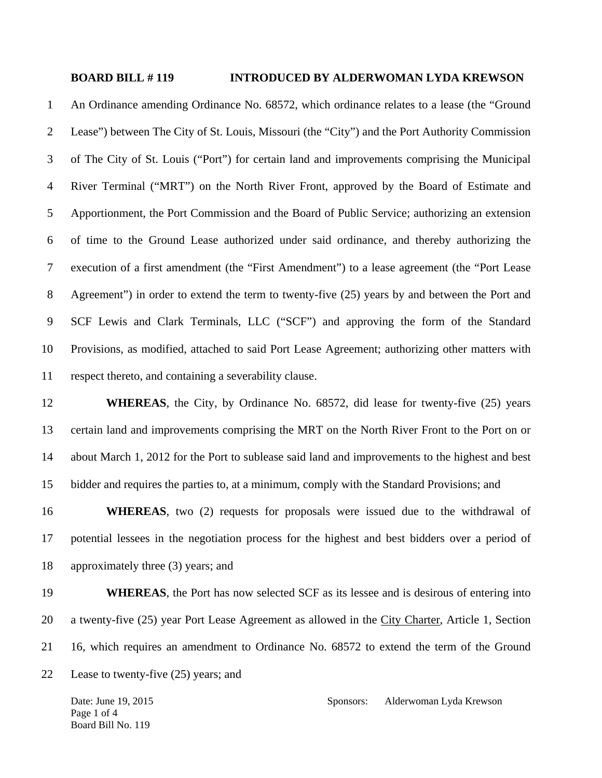## **BOARD BILL # 119 INTRODUCED BY ALDERWOMAN LYDA KREWSON**

1 An Ordinance amending Ordinance No. 68572, which ordinance relates to a lease (the "Ground 2 Lease") between The City of St. Louis, Missouri (the "City") and the Port Authority Commission 3 of The City of St. Louis ("Port") for certain land and improvements comprising the Municipal 4 River Terminal ("MRT") on the North River Front, approved by the Board of Estimate and 5 Apportionment, the Port Commission and the Board of Public Service; authorizing an extension 6 of time to the Ground Lease authorized under said ordinance, and thereby authorizing the 7 execution of a first amendment (the "First Amendment") to a lease agreement (the "Port Lease 8 Agreement") in order to extend the term to twenty-five (25) years by and between the Port and 9 SCF Lewis and Clark Terminals, LLC ("SCF") and approving the form of the Standard 10 Provisions, as modified, attached to said Port Lease Agreement; authorizing other matters with 11 respect thereto, and containing a severability clause.

12 **WHEREAS**, the City, by Ordinance No. 68572, did lease for twenty-five (25) years 13 certain land and improvements comprising the MRT on the North River Front to the Port on or 14 about March 1, 2012 for the Port to sublease said land and improvements to the highest and best 15 bidder and requires the parties to, at a minimum, comply with the Standard Provisions; and

16 **WHEREAS**, two (2) requests for proposals were issued due to the withdrawal of 17 potential lessees in the negotiation process for the highest and best bidders over a period of 18 approximately three (3) years; and

19 **WHEREAS**, the Port has now selected SCF as its lessee and is desirous of entering into 20 a twenty-five (25) year Port Lease Agreement as allowed in the City Charter, Article 1, Section 21 16, which requires an amendment to Ordinance No. 68572 to extend the term of the Ground

22 Lease to twenty-five (25) years; and

Page 1 of 4 Board Bill No. 119

Date: June 19, 2015 Sponsors: Alderwoman Lyda Krewson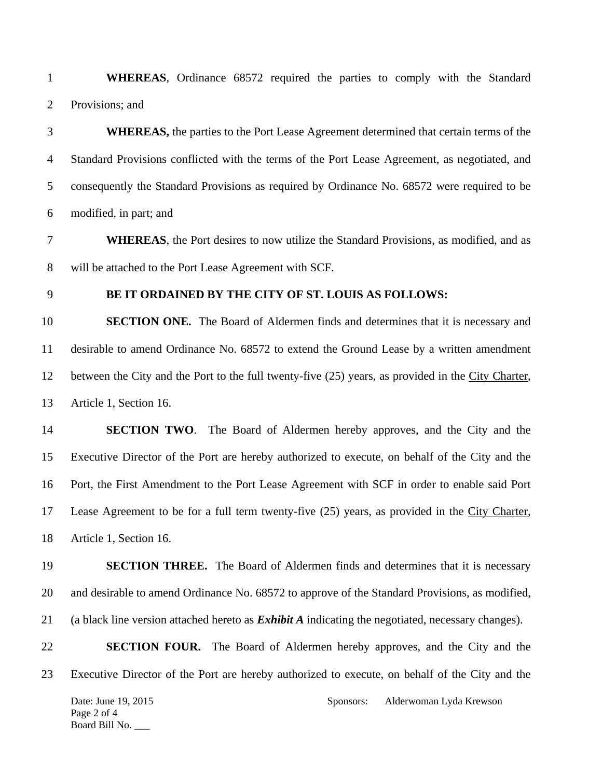1 **WHEREAS**, Ordinance 68572 required the parties to comply with the Standard 2 Provisions; and

3 **WHEREAS,** the parties to the Port Lease Agreement determined that certain terms of the 4 Standard Provisions conflicted with the terms of the Port Lease Agreement, as negotiated, and 5 consequently the Standard Provisions as required by Ordinance No. 68572 were required to be 6 modified, in part; and

7 **WHEREAS**, the Port desires to now utilize the Standard Provisions, as modified, and as 8 will be attached to the Port Lease Agreement with SCF.

## 9 **BE IT ORDAINED BY THE CITY OF ST. LOUIS AS FOLLOWS:**

10 **SECTION ONE.** The Board of Aldermen finds and determines that it is necessary and 11 desirable to amend Ordinance No. 68572 to extend the Ground Lease by a written amendment 12 between the City and the Port to the full twenty-five (25) years, as provided in the City Charter, 13 Article 1, Section 16.

14 **SECTION TWO**. The Board of Aldermen hereby approves, and the City and the 15 Executive Director of the Port are hereby authorized to execute, on behalf of the City and the 16 Port, the First Amendment to the Port Lease Agreement with SCF in order to enable said Port 17 Lease Agreement to be for a full term twenty-five (25) years, as provided in the City Charter, 18 Article 1, Section 16.

19 **SECTION THREE.** The Board of Aldermen finds and determines that it is necessary 20 and desirable to amend Ordinance No. 68572 to approve of the Standard Provisions, as modified, 21 (a black line version attached hereto as *Exhibit A* indicating the negotiated, necessary changes).

22 **SECTION FOUR.** The Board of Aldermen hereby approves, and the City and the 23 Executive Director of the Port are hereby authorized to execute, on behalf of the City and the

Page 2 of 4 Board Bill No. \_\_\_

Date: June 19, 2015 Sponsors: Alderwoman Lyda Krewson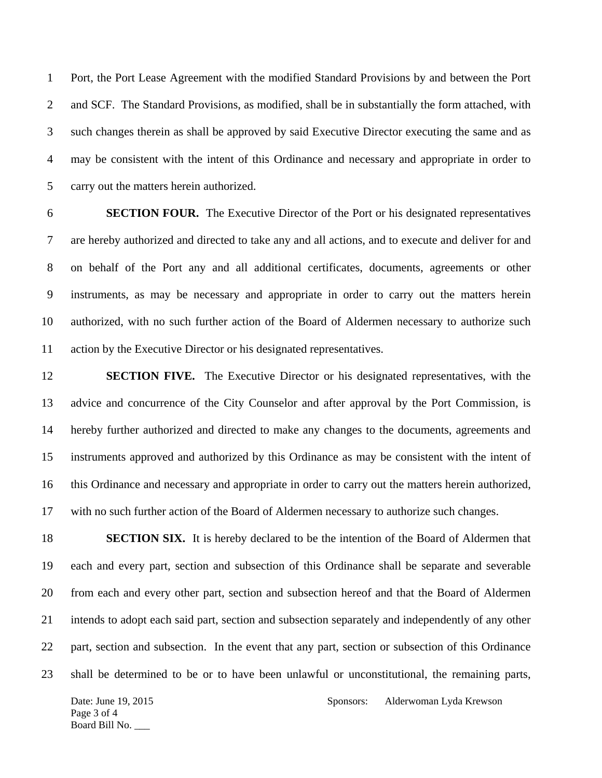1 Port, the Port Lease Agreement with the modified Standard Provisions by and between the Port 2 and SCF. The Standard Provisions, as modified, shall be in substantially the form attached, with 3 such changes therein as shall be approved by said Executive Director executing the same and as 4 may be consistent with the intent of this Ordinance and necessary and appropriate in order to 5 carry out the matters herein authorized.

6 **SECTION FOUR.** The Executive Director of the Port or his designated representatives 7 are hereby authorized and directed to take any and all actions, and to execute and deliver for and 8 on behalf of the Port any and all additional certificates, documents, agreements or other 9 instruments, as may be necessary and appropriate in order to carry out the matters herein 10 authorized, with no such further action of the Board of Aldermen necessary to authorize such 11 action by the Executive Director or his designated representatives.

12 **SECTION FIVE.** The Executive Director or his designated representatives, with the 13 advice and concurrence of the City Counselor and after approval by the Port Commission, is 14 hereby further authorized and directed to make any changes to the documents, agreements and 15 instruments approved and authorized by this Ordinance as may be consistent with the intent of 16 this Ordinance and necessary and appropriate in order to carry out the matters herein authorized, 17 with no such further action of the Board of Aldermen necessary to authorize such changes.

18 **SECTION SIX.** It is hereby declared to be the intention of the Board of Aldermen that 19 each and every part, section and subsection of this Ordinance shall be separate and severable 20 from each and every other part, section and subsection hereof and that the Board of Aldermen 21 intends to adopt each said part, section and subsection separately and independently of any other 22 part, section and subsection. In the event that any part, section or subsection of this Ordinance 23 shall be determined to be or to have been unlawful or unconstitutional, the remaining parts,

Page 3 of 4 Board Bill No. \_\_\_

Date: June 19, 2015 Sponsors: Alderwoman Lyda Krewson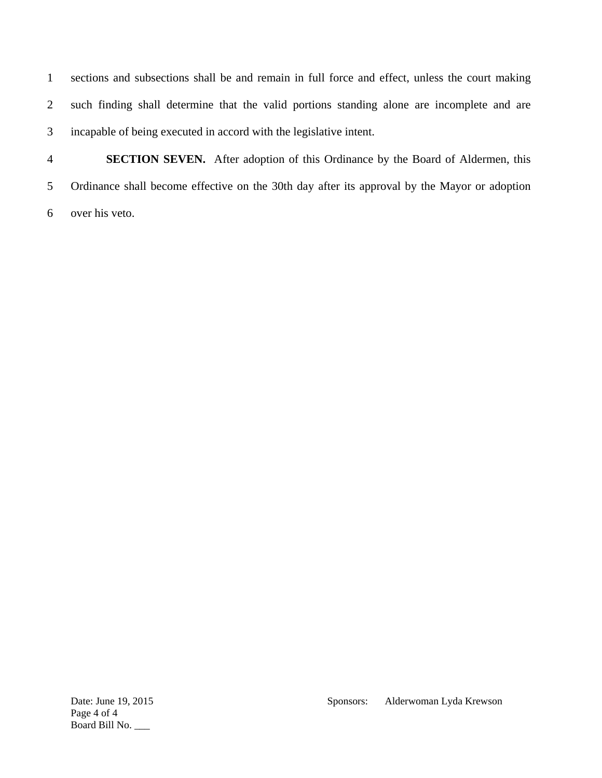1 sections and subsections shall be and remain in full force and effect, unless the court making 2 such finding shall determine that the valid portions standing alone are incomplete and are 3 incapable of being executed in accord with the legislative intent.

4 **SECTION SEVEN.** After adoption of this Ordinance by the Board of Aldermen, this 5 Ordinance shall become effective on the 30th day after its approval by the Mayor or adoption 6 over his veto.